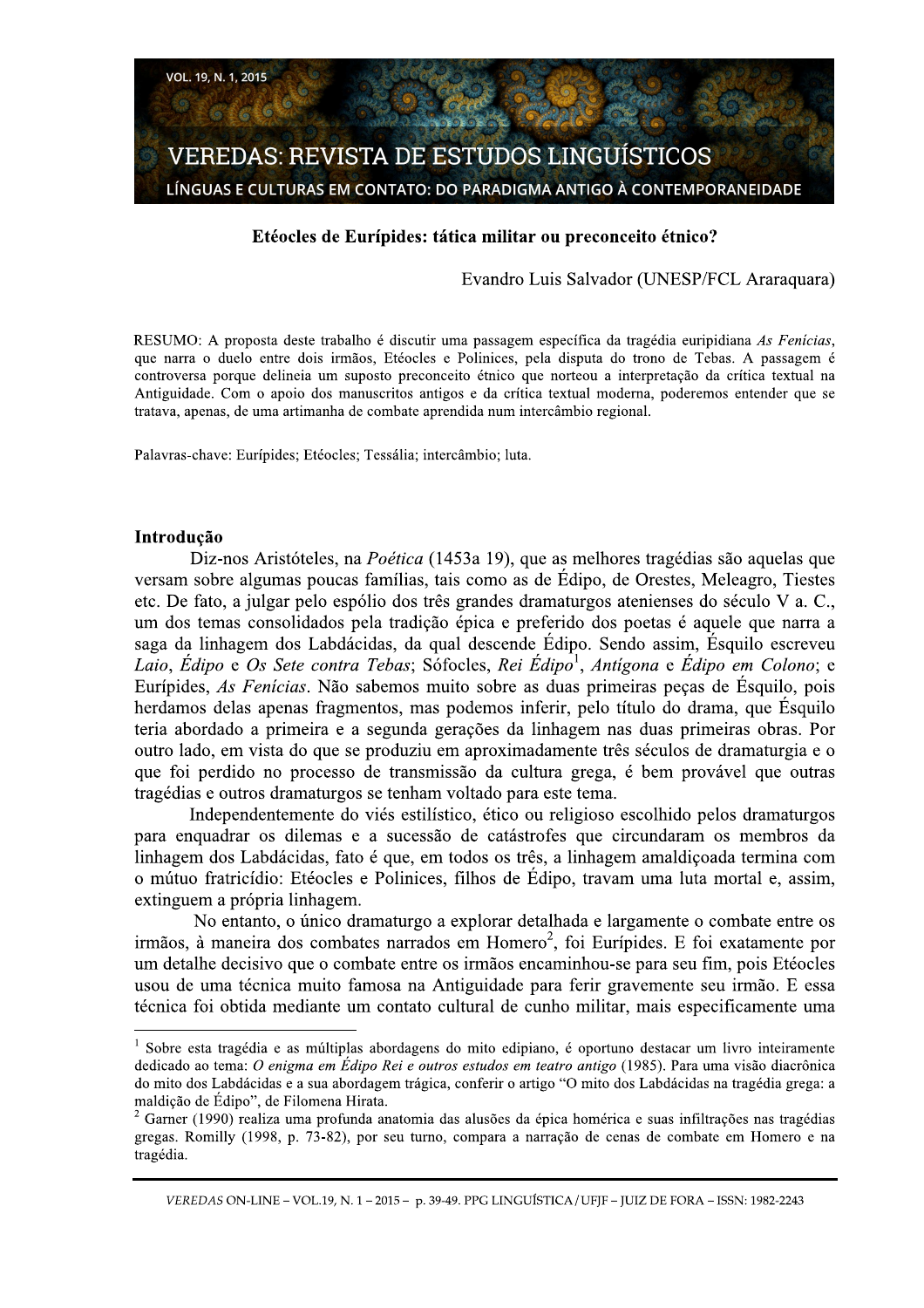

### Etéocles de Eurípides: tática militar ou preconceito étnico?

# Evandro Luis Salvador (UNESP/FCL Araraquara)

RESUMO: A proposta deste trabalho é discutir uma passagem específica da tragédia euripidiana As Fenícias. que narra o duelo entre dois irmãos, Etéocles e Polinices, pela disputa do trono de Tebas. A passagem é controversa porque delineia um suposto preconceito étnico que norteou a interpretação da crítica textual na Antiguidade. Com o apoio dos manuscritos antigos e da crítica textual moderna, poderemos entender que se tratava, apenas, de uma artimanha de combate aprendida num intercâmbio regional.

Palavras-chave: Eurípides; Etéocles; Tessália; intercâmbio; luta.

### Introdução

Diz-nos Aristóteles, na Poética (1453a 19), que as melhores tragédias são aquelas que versam sobre algumas poucas famílias, tais como as de Édipo, de Orestes, Meleagro, Tiestes etc. De fato, a julgar pelo espólio dos três grandes dramaturgos atenienses do século V a. C., um dos temas consolidados pela tradição épica e preferido dos poetas é aquele que narra a saga da linhagem dos Labdácidas, da qual descende Édipo. Sendo assim, Ésquilo escreveu Laio, Édipo e Os Sete contra Tebas; Sófocles, Rei Édipo<sup>1</sup>, Antígona e Édipo em Colono; e Eurípides, *As Fenicias*. Não sabemos muito sobre as duas primeiras peças de Ésquilo, pois herdamos delas apenas fragmentos, mas podemos inferir, pelo título do drama, que Ésquilo teria abordado a primeira e a segunda gerações da linhagem nas duas primeiras obras. Por outro lado, em vista do que se produziu em aproximadamente três séculos de dramaturgia e o que foi perdido no processo de transmissão da cultura grega, é bem provável que outras tragédias e outros dramaturgos se tenham voltado para este tema.

Independentemente do viés estilístico, ético ou religioso escolhido pelos dramaturgos para enquadrar os dilemas e a sucessão de catástrofes que circundaram os membros da linhagem dos Labdácidas, fato é que, em todos os três, a linhagem amaldiçoada termina com o mútuo fratricídio: Etéocles e Polinices, filhos de Édipo, travam uma luta mortal e, assim, extinguem a própria linhagem.

No entanto, o único dramaturgo a explorar detalhada e largamente o combate entre os irmãos, à maneira dos combates narrados em Homero<sup>2</sup>, foi Eurípides. E foi exatamente por um detalhe decisivo que o combate entre os irmãos encaminhou-se para seu fim, pois Etéocles usou de uma técnica muito famosa na Antiguidade para ferir gravemente seu irmão. E essa técnica foi obtida mediante um contato cultural de cunho militar, mais especificamente uma

 $\frac{1}{1}$  Sobre esta tragédia e as múltiplas abordagens do mito edipiano, é oportuno destacar um livro inteiramente dedicado ao tema: O enigma em Édipo Rei e outros estudos em teatro antigo (1985). Para uma visão diacrônica do mito dos Labdácidas e a sua abordagem trágica, conferir o artigo "O mito dos Labdácidas na tragédia grega: a maldição de Édipo", de Filomena Hirata.

 $^2$  Garner (1990) realiza uma profunda anatomia das alusões da épica homérica e suas infiltrações nas tragédias gregas. Romilly (1998, p. 73-82), por seu turno, compara a narração de cenas de combate em Homero e na tragédia.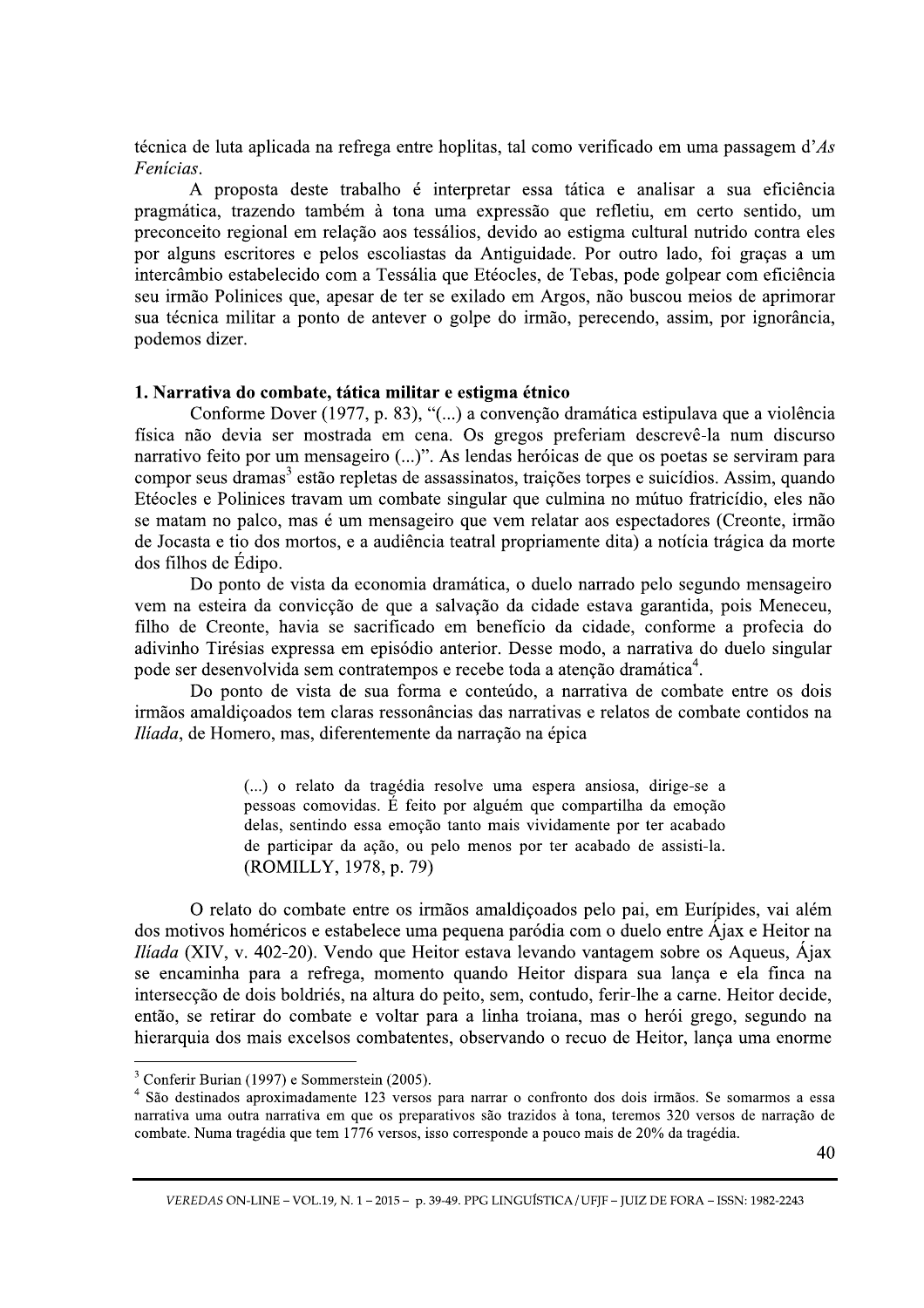técnica de luta aplicada na refrega entre hoplitas, tal como verificado em uma passagem d'As Fenícias.

A proposta deste trabalho é interpretar essa tática e analisar a sua eficiência pragmática, trazendo também à tona uma expressão que refletiu, em certo sentido, um preconceito regional em relação aos tessálios, devido ao estigma cultural nutrido contra eles por alguns escritores e pelos escoliastas da Antiguidade. Por outro lado, foi graças a um intercâmbio estabelecido com a Tessália que Etéocles, de Tebas, pode golpear com eficiência seu irmão Polinices que, apesar de ter se exilado em Argos, não buscou meios de aprimorar sua técnica militar a ponto de antever o golpe do irmão, perecendo, assim, por ignorância, podemos dizer.

### 1. Narrativa do combate, tática militar e estigma étnico

Conforme Dover (1977, p. 83), "(...) a convenção dramática estipulava que a violência física não devia ser mostrada em cena. Os gregos preferiam descrevê-la num discurso narrativo feito por um mensageiro (...)". As lendas heróicas de que os poetas se serviram para compor seus dramas<sup>3</sup> estão repletas de assassinatos, traições torpes e suicídios. Assim, quando Etéocles e Polinices travam um combate singular que culmina no mútuo fratricídio, eles não se matam no palco, mas é um mensageiro que vem relatar aos espectadores (Creonte, irmão de Jocasta e tio dos mortos, e a audiência teatral propriamente dita) a notícia trágica da morte dos filhos de Édipo.

Do ponto de vista da economia dramática, o duelo narrado pelo segundo mensageiro vem na esteira da convicção de que a salvação da cidade estava garantida, pois Meneceu, filho de Creonte, havia se sacrificado em benefício da cidade, conforme a profecia do adivinho Tirésias expressa em episódio anterior. Desse modo, a narrativa do duelo singular pode ser desenvolvida sem contratempos e recebe toda a atenção dramática<sup>4</sup>.

Do ponto de vista de sua forma e conteúdo, a narrativa de combate entre os dois irmãos amaldicoados tem claras ressonâncias das narrativas e relatos de combate contidos na *Iliada*, de Homero, mas, diferentemente da narração na épica

> (...) o relato da tragédia resolve uma espera ansiosa, dirige-se a pessoas comovidas. É feito por alguém que compartilha da emoção delas, sentindo essa emoção tanto mais vividamente por ter acabado de participar da ação, ou pelo menos por ter acabado de assisti-la. (ROMILLY, 1978, p. 79)

O relato do combate entre os irmãos amaldicoados pelo pai, em Eurípides, vai além dos motivos homéricos e estabelece uma pequena paródia com o duelo entre Ájax e Heitor na *Iliada* (XIV, v. 402-20). Vendo que Heitor estava levando vantagem sobre os Aqueus, Ájax se encaminha para a refrega, momento quando Heitor dispara sua lança e ela finca na intersecção de dois boldriés, na altura do peito, sem, contudo, ferir-lhe a carne. Heitor decide, então, se retirar do combate e voltar para a linha troiana, mas o herói grego, segundo na hierarquia dos mais excelsos combatentes, observando o recuo de Heitor, lança uma enorme

 $3$  Conferir Burian (1997) e Sommerstein (2005).

<sup>&</sup>lt;sup>4</sup> São destinados aproximadamente 123 versos para narrar o confronto dos dois irmãos. Se somarmos a essa narrativa uma outra narrativa em que os preparativos são trazidos à tona, teremos 320 versos de narração de combate. Numa tragédia que tem 1776 versos, isso corresponde a pouco mais de 20% da tragédia.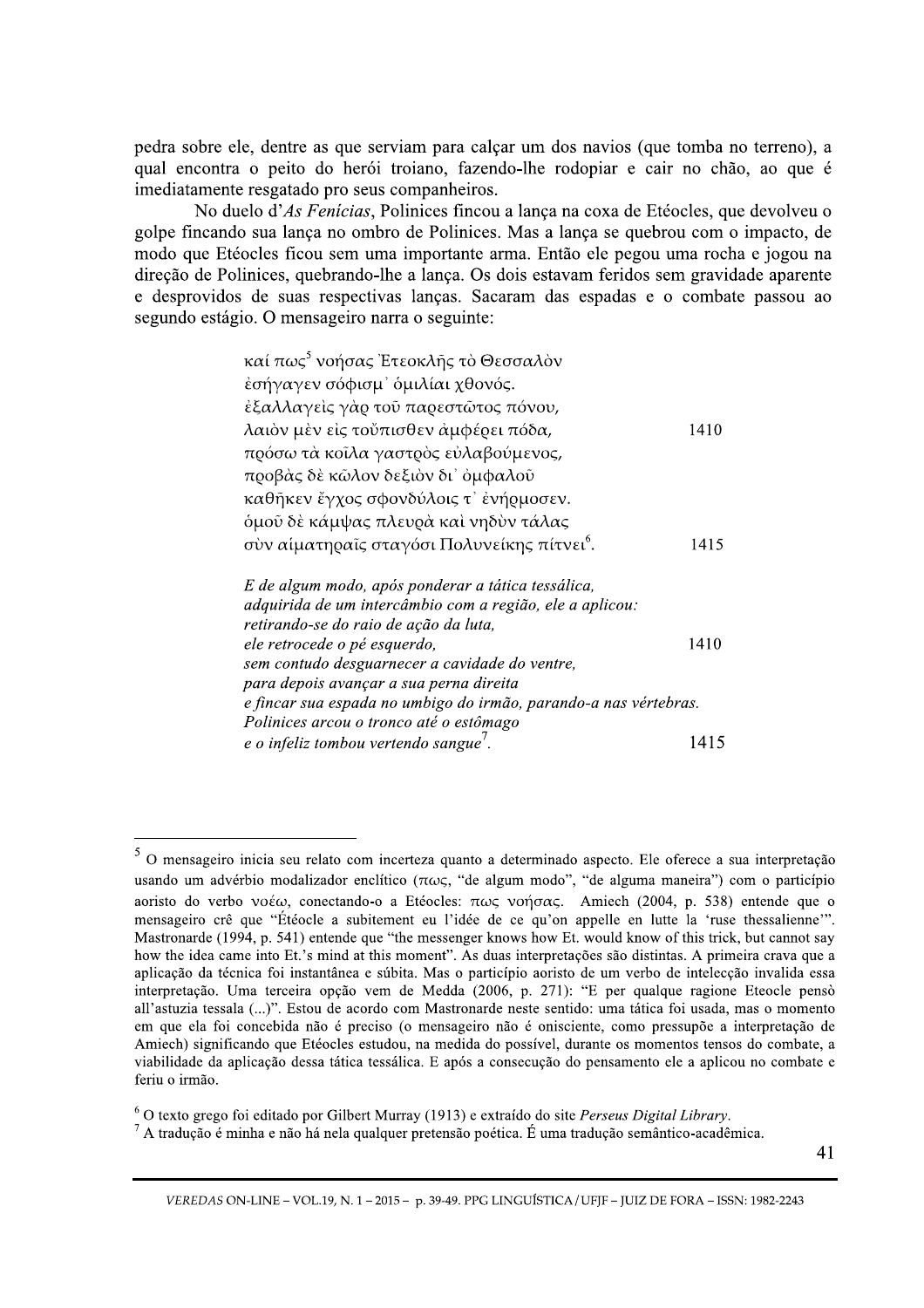pedra sobre ele, dentre as que serviam para calçar um dos navios (que tomba no terreno), a qual encontra o peito do herói troiano, fazendo-lhe rodopiar e cair no chão, ao que é imediatamente resgatado pro seus companheiros.

No duelo d'As Fenícias, Polinices fincou a lança na coxa de Etéocles, que devolveu o golpe fincando sua lanca no ombro de Polinices. Mas a lanca se quebrou com o impacto, de modo que Etéocles ficou sem uma importante arma. Então ele pegou uma rocha e jogou na direção de Polinices, quebrando-lhe a lança. Os dois estavam feridos sem gravidade aparente e desprovidos de suas respectivas lanças. Sacaram das espadas e o combate passou ao segundo estágio. O mensageiro narra o seguinte:

| καί πως <sup>5</sup> νοήσας Έτεοκλῆς τὸ Θεσσαλὸν                 |      |
|------------------------------------------------------------------|------|
| έσήγαγεν σόφισμ' όμιλίαι χθονός.                                 |      |
| έξαλλαγείς γάρ τοῦ παρεστῶτος πόνου,                             |      |
| λαιὸν μὲν εἰς τοὔπισθεν ἀμφέρει πόδα,                            | 1410 |
| πρόσω τὰ κοῖλα γαστρὸς εὐλαβούμενος,                             |      |
| προβάς δὲ κῶλον δεξιὸν δι' ὀμφαλοῦ                               |      |
| καθῆκεν ἔγχος σφονδύλοις τ' ἐνήρμοσεν.                           |      |
| <i>δμοῦ δὲ κάμψας πλευρὰ καὶ νηδὺν τάλας</i>                     |      |
| σὺν αἱματηραῖς σταγόσι Πολυνείκης πίτνει <sup>6</sup> .          | 1415 |
| E de algum modo, após ponderar a tática tessálica,               |      |
| adquirida de um intercâmbio com a região, ele a aplicou:         |      |
| retirando-se do raio de ação da luta,                            |      |
| ele retrocede o pé esquerdo,                                     | 1410 |
| sem contudo desguarnecer a cavidade do ventre,                   |      |
| para depois avançar a sua perna direita                          |      |
| e fincar sua espada no umbigo do irmão, parando-a nas vértebras. |      |
| Polinices arcou o tronco até o estômago                          |      |
| e o infeliz tombou vertendo sangue'.                             | 1415 |

<sup>&</sup>lt;sup>5</sup> O mensageiro inicia seu relato com incerteza quanto a determinado aspecto. Ele oferece a sua interpretação usando um advérbio modalizador enclítico ( $\pi \omega \varsigma$ , "de algum modo", "de alguma maneira") com o particípio aoristo do verbo voé $\omega$ , conectando-o a Etéocles:  $\pi \omega \zeta$  voήσας. Amiech (2004, p. 538) entende que o mensageiro crê que "Étéocle a subitement eu l'idée de ce qu'on appelle en lutte la 'ruse thessalienne'". Mastronarde (1994, p. 541) entende que "the messenger knows how Et, would know of this trick, but cannot say how the idea came into Et.'s mind at this moment". As duas interpretações são distintas. A primeira crava que a aplicação da técnica foi instantânea e súbita. Mas o particípio aoristo de um verbo de intelecção invalida essa interpretação. Uma terceira opção vem de Medda (2006, p. 271): "E per qualque ragione Eteocle pensò all'astuzia tessala (...)". Estou de acordo com Mastronarde neste sentido: uma tática foi usada, mas o momento em que ela foi concebida não é preciso (o mensageiro não é onisciente, como pressupõe a interpretação de Amiech) significando que Etéocles estudou, na medida do possível, durante os momentos tensos do combate, a viabilidade da aplicação dessa tática tessálica. E após a consecução do pensamento ele a aplicou no combate e feriu o irmão.

 $6$  O texto grego foi editado por Gilbert Murray (1913) e extraído do site Perseus Digital Library.

 $^7$  A tradução é minha e não há nela qualquer pretensão poética. É uma tradução semântico-acadêmica.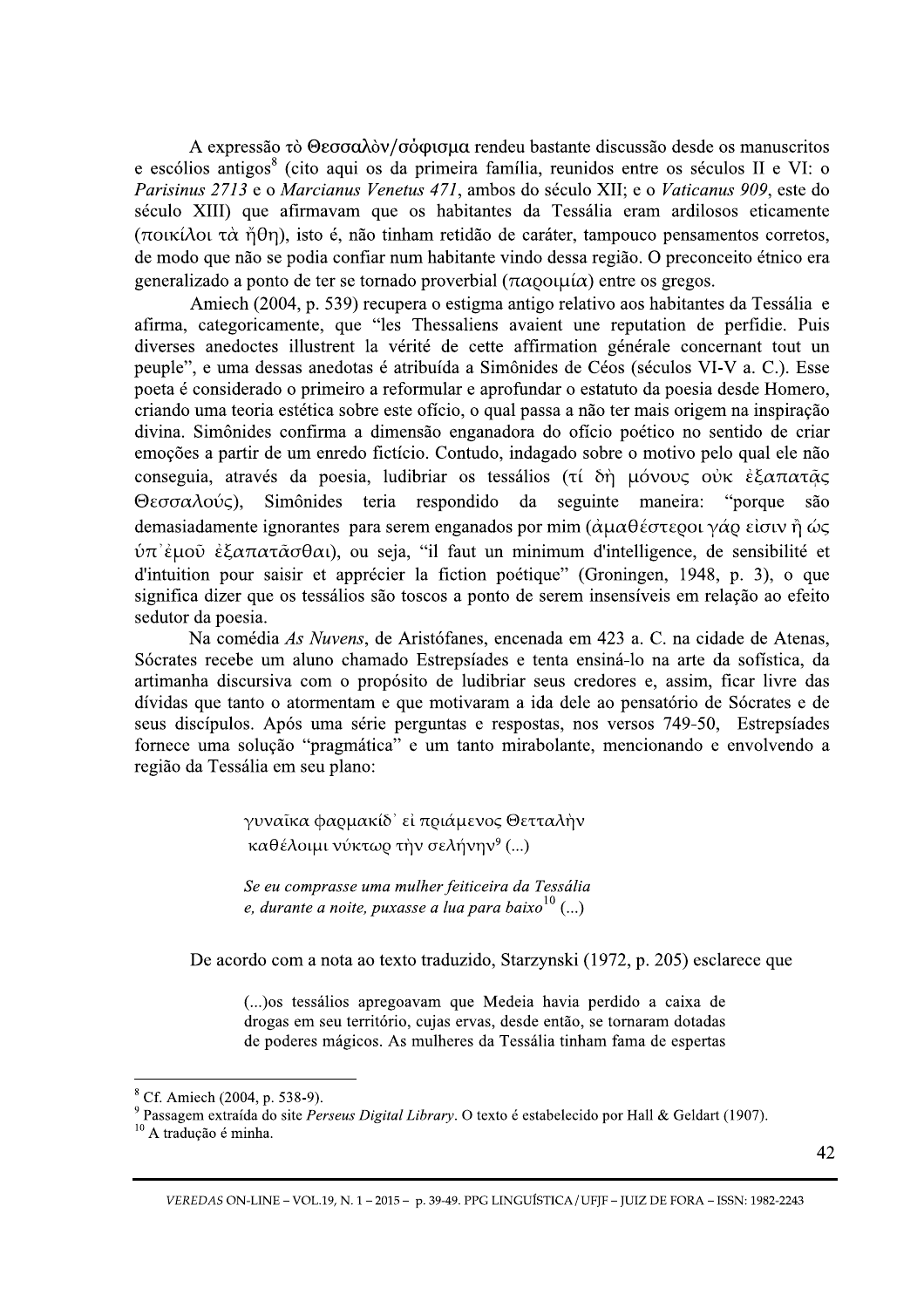A expressão τὸ Θεσσαλὸν/σὸφισμα rendeu bastante discussão desde os manuscritos e escólios antigos<sup>8</sup> (cito aqui os da primeira família, reunidos entre os séculos II e VI: o Parisinus 2713 e o Marcianus Venetus 471, ambos do século XII; e o Vaticanus 909, este do século XIII) que afirmavam que os habitantes da Tessália eram ardilosos eticamente (ποικίλοι τὰ ἦθη), isto é, não tinham retidão de caráter, tampouco pensamentos corretos, de modo que não se podia confiar num habitante vindo dessa região. O preconceito étnico era generalizado a ponto de ter se tornado proverbial  $(\pi \alpha)$ ou $\mu$ í $\alpha$ ) entre os gregos.

Amiech (2004, p. 539) recupera o estigma antigo relativo aos habitantes da Tessália e afirma, categoricamente, que "les Thessaliens avaient une reputation de perfidie. Puis diverses anedoctes illustrent la vérité de cette affirmation générale concernant tout un peuple", e uma dessas anedotas é atribuída a Simônides de Céos (séculos VI-V a. C.). Esse poeta é considerado o primeiro a reformular e aprofundar o estatuto da poesia desde Homero, criando uma teoria estética sobre este ofício, o qual passa a não ter mais origem na inspiração divina. Simônides confirma a dimensão enganadora do ofício poético no sentido de criar emoções a partir de um enredo fictício. Contudo, indagado sobre o motivo pelo qual ele não conseguia, através da poesia, ludibriar os tessálios (τί δή μόνους ούκ έξαπατάς da seguinte maneira: "porque Θεσσαλούς), Simônides teria respondido são demasiadamente ignorantes para serem enganados por mim ( $\alpha \mu \alpha \theta \acute{\epsilon} \sigma \tau \epsilon \rho o \nu \gamma \acute{\alpha} \rho \acute{\epsilon} \sigma \nu \gamma \acute{\eta} \omega \varsigma$  $\dot{v}$ π' έμοῦ ἐξαπατ $\tilde{\alpha}$ σθαι), ou seja, "il faut un minimum d'intelligence, de sensibilité et d'intuition pour saisir et apprécier la fiction poétique" (Groningen, 1948, p. 3), o que significa dizer que os tessálios são toscos a ponto de serem insensíveis em relação ao efeito sedutor da poesia.

Na comédia As Nuvens, de Aristófanes, encenada em 423 a. C. na cidade de Atenas, Sócrates recebe um aluno chamado Estrepsíades e tenta ensiná-lo na arte da sofística, da artimanha discursiva com o propósito de ludibriar seus credores e, assim, ficar livre das dívidas que tanto o atormentam e que motivaram a ida dele ao pensatório de Sócrates e de seus discípulos. Após uma série perguntas e respostas, nos versos 749-50, Estrepsíades fornece uma solução "pragmática" e um tanto mirabolante, mencionando e envolvendo a região da Tessália em seu plano:

> γυναΐκα φαρμακίδ' εί πριάμενος Θετταλήν καθέλοιμι νύκτωο την σελήνην<sup>9</sup> (...)

Se eu comprasse uma mulher feiticeira da Tessália e, durante a noite, puxasse a lua para baixo $^{10}$  (...)

De acordo com a nota ao texto traduzido, Starzynski (1972, p. 205) esclarece que

(...) os tessálios apregoavam que Medeia havia perdido a caixa de drogas em seu território, cujas ervas, desde então, se tornaram dotadas de poderes mágicos. As mulheres da Tessália tinham fama de espertas

<sup>&</sup>lt;sup>8</sup> Cf. Amiech (2004, p. 538-9).

<sup>&</sup>lt;sup>9</sup> Passagem extraída do site Perseus Digital Library. O texto é estabelecido por Hall & Geldart (1907).

<sup>&</sup>lt;sup>10</sup> A tradução é minha.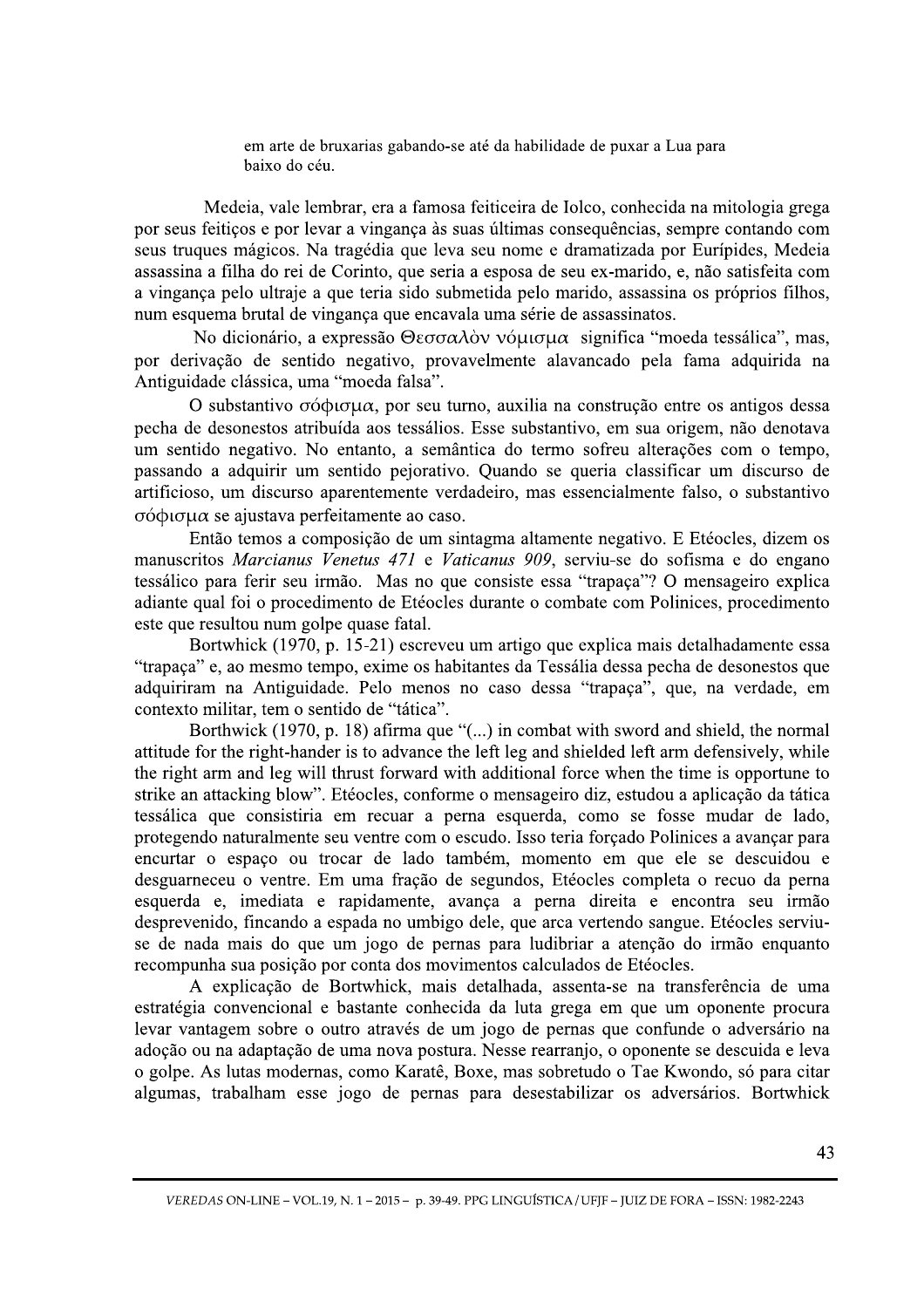em arte de bruxarias gabando-se até da habilidade de puxar a Lua para baixo do céu.

3 Medeia, vale lembrar, era a famosa feiticeira de Iolco, conhecida na mitologia grega por seus feitiços e por levar a vingança às suas últimas consequências, sempre contando com seus truques mágicos. Na tragédia que leva seu nome e dramatizada por Eurípides, Medeia assassina a filha do rei de Corinto, que seria a esposa de seu ex-marido, e, não satisfeita com a vingança pelo ultraje a que teria sido submetida pelo marido, assassina os próprios filhos, num esquema brutal de vingança que encavala uma série de assassinatos.

No dicionário, a expressão  $\Theta$ εσσαλὸν νόμισμα significa "moeda tessálica", mas, por derivação de sentido negativo, provavelmente alavancado pela fama adquirida na Antiguidade clássica, uma "moeda falsa".

O substantivo  $\sigma$ ó $\phi$ u $\sigma \mu \alpha$ , por seu turno, auxilia na construção entre os antigos dessa pecha de desonestos atribuída aos tessálios. Esse substantivo, em sua origem, não denotava um sentido negativo. No entanto, a semântica do termo sofreu alterações com o tempo, passando a adquirir um sentido pejorativo. Quando se queria classificar um discurso de artificioso, um discurso aparentemente verdadeiro, mas essencialmente falso, o substantivo  $\sigma$ ó $\phi$ ισμα se ajustava perfeitamente ao caso.

Então temos a composição de um sintagma altamente negativo. E Etéocles, dizem os manuscritos Marcianus Venetus 471 e Vaticanus 909, serviu-se do sofisma e do engano tessálico para ferir seu irmão. Mas no que consiste essa "trapaça"? O mensageiro explica adiante qual foi o procedimento de Etéocles durante o combate com Polinices, procedimento este que resultou num golpe quase fatal.

Bortwhick (1970, p. 15-21) escreveu um artigo que explica mais detalhadamente essa "trapaça" e, ao mesmo tempo, exime os habitantes da Tessália dessa pecha de desonestos que adquiriram na Antiguidade. Pelo menos no caso dessa "trapaça", que, na verdade, em contexto militar, tem o sentido de "tática".

Borthwick (1970, p. 18) afirma que "(...) in combat with sword and shield, the normal attitude for the right-hander is to advance the left leg and shielded left arm defensively, while the right arm and leg will thrust forward with additional force when the time is opportune to strike an attacking blow". Etéocles, conforme o mensageiro diz, estudou a aplicação da tática tessálica que consistiria em recuar a perna esquerda, como se fosse mudar de lado, protegendo naturalmente seu ventre com o escudo. Isso teria forçado Polinices a avançar para encurtar o espaço ou trocar de lado também, momento em que ele se descuidou e desguarneceu o ventre. Em uma fração de segundos, Etéocles completa o recuo da perna esquerda e, imediata e rapidamente, avança a perna direita e encontra seu irmão desprevenido, fincando a espada no umbigo dele, que arca vertendo sangue. Etéocles serviuse de nada mais do que um jogo de pernas para ludibriar a atenção do irmão enquanto recompunha sua posição por conta dos movimentos calculados de Etéocles.

as para desestabilizar os adversários. Bort<br>
49. PPG LINGUÍSTICA/UFJF – JUIZ DE FORA – ISSN: 1982-2:<br>
49. PPG LINGUÍSTICA/UFJF – JUIZ DE FORA – ISSN: 1982-2:<br> A explicação de Bortwhick, mais detalhada, assenta-se na transferência de uma estratégia convencional e bastante conhecida da luta grega em que um oponente procura levar vantagem sobre o outro através de um jogo de pernas que confunde o adversário na adoção ou na adaptação de uma nova postura. Nesse rearranjo, o oponente se descuida e leva o golpe. As lutas modernas, como Karatê, Boxe, mas sobretudo o Tae Kwondo, só para citar algumas, trabalham esse jogo de pernas para desestabilizar os adversários. Bortwhick

 $\ddot{\phantom{a}}$ VEREDAS ON-LINE – VOL.19, N. 1 – 2015 – p. 39-49. PPG LINGUÍSTICA / UFJF – JUIZ DE FORA – ISSN: 1982-2243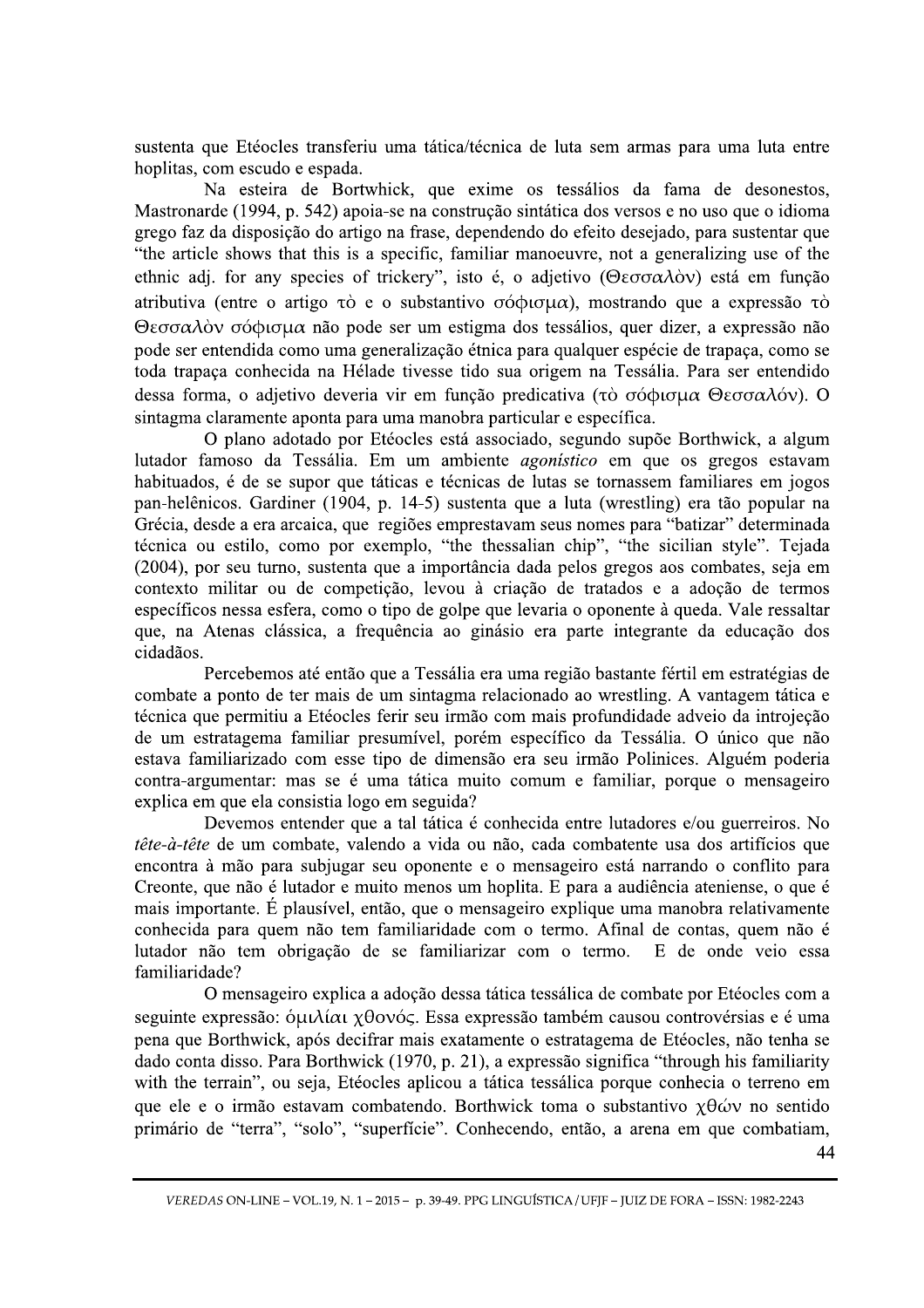sustenta que Etéocles transferiu uma tática/técnica de luta sem armas para uma luta entre hoplitas, com escudo e espada.

Na esteira de Bortwhick, que exime os tessálios da fama de desonestos, Mastronarde (1994, p. 542) apoia-se na construção sintática dos versos e no uso que o idioma grego faz da disposição do artigo na frase, dependendo do efeito desejado, para sustentar que "the article shows that this is a specific, familiar manoeuvre, not a generalizing use of the ethnic adj. for any species of trickery", isto é, o adjetivo ( $\Theta \varepsilon \sigma \sigma \alpha \lambda$ óv) está em função atributiva (entre o artigo  $\tau$ ) e o substantivo  $\sigma$ ó $\phi$ ισμα), mostrando que a expressão  $\tau$ ) Θεσσαλὸν σόφισμα não pode ser um estigma dos tessálios, quer dizer, a expressão não pode ser entendida como uma generalização étnica para qualquer espécie de trapaça, como se toda trapaça conhecida na Hélade tivesse tido sua origem na Tessália. Para ser entendido dessa forma, o adjetivo deveria vir em função predicativa (τὸ σόφισμα Θεσσαλόν). O sintagma claramente aponta para uma manobra particular e específica.

O plano adotado por Etéocles está associado, segundo supõe Borthwick, a algum lutador famoso da Tessália. Em um ambiente *agonístico* em que os gregos estavam habituados, é de se supor que táticas e técnicas de lutas se tornassem familiares em jogos pan-helênicos. Gardiner (1904, p. 14-5) sustenta que a luta (wrestling) era tão popular na Grécia, desde a era arcaica, que regiões emprestavam seus nomes para "batizar" determinada técnica ou estilo, como por exemplo, "the thessalian chip", "the sicilian style". Tejada (2004), por seu turno, sustenta que a importância dada pelos gregos aos combates, seia em contexto militar ou de competição, levou à criação de tratados e a adoção de termos específicos nessa esfera, como o tipo de golpe que levaria o oponente à queda. Vale ressaltar que, na Atenas clássica, a freguência ao ginásio era parte integrante da educação dos cidadãos.

Percebemos até então que a Tessália era uma região bastante fértil em estratégias de combate a ponto de ter mais de um sintagma relacionado ao wrestling. A vantagem tática e técnica que permitiu a Etéocles ferir seu irmão com mais profundidade adveio da introjeção de um estratagema familiar presumível, porém específico da Tessália. O único que não estava familiarizado com esse tipo de dimensão era seu irmão Polinices. Alguém poderia contra-argumentar: mas se é uma tática muito comum e familiar, porque o mensageiro explica em que ela consistia logo em seguida?

Devemos entender que a tal tática é conhecida entre lutadores e/ou guerreiros. No tête-à-tête de um combate, valendo a vida ou não, cada combatente usa dos artifícios que encontra à mão para subjugar seu oponente e o mensageiro está narrando o conflito para Creonte, que não é lutador e muito menos um hoplita. E para a audiência ateniense, o que é mais importante. É plausível, então, que o mensageiro explique uma manobra relativamente conhecida para quem não tem familiaridade com o termo. Afinal de contas, quem não é lutador não tem obrigação de se familiarizar com o termo. E de onde veio essa familiaridade?

O mensageiro explica a adoção dessa tática tessálica de combate por Etéocles com a seguinte expressão: όμιλίαι χθονός. Essa expressão também causou controvérsias e é uma pena que Borthwick, após decifrar mais exatamente o estratagema de Etéocles, não tenha se dado conta disso. Para Borthwick (1970, p. 21), a expressão significa "through his familiarity with the terrain", ou seja, Etéocles aplicou a tática tessálica porque conhecia o terreno em que ele e o irmão estavam combatendo. Borthwick toma o substantivo  $\chi \theta \omega v$  no sentido primário de "terra", "solo", "superfície". Conhecendo, então, a arena em que combatiam,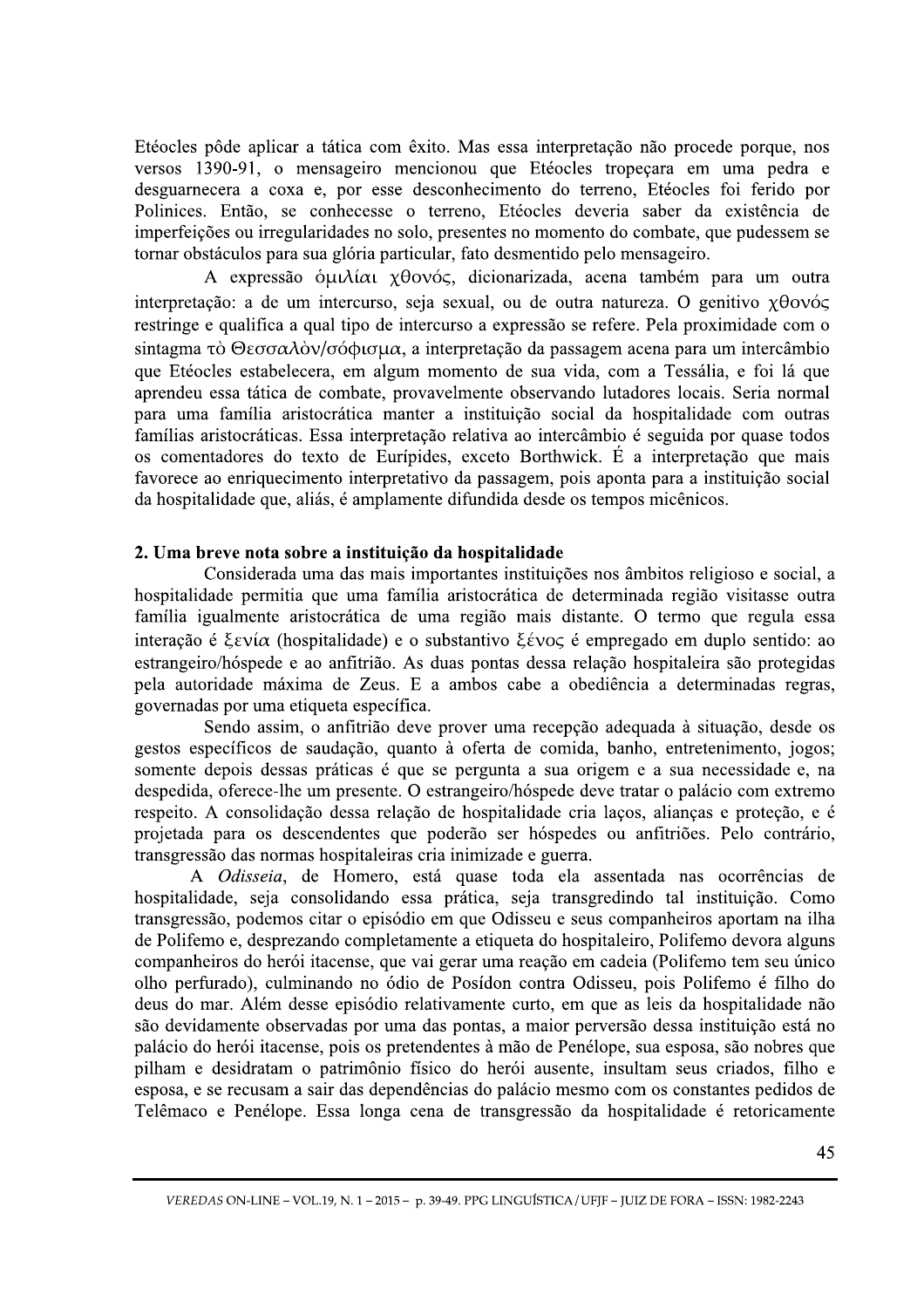Etéocles pôde aplicar a tática com êxito. Mas essa interpretação não procede porque, nos versos 1390-91, o mensageiro mencionou que Etéocles tropeçara em uma pedra e desguarnecera a coxa e, por esse desconhecimento do terreno, Etéocles foi ferido por Polinices. Então, se conhecesse o terreno, Etéocles deveria saber da existência de imperfeições ou irregularidades no solo, presentes no momento do combate, que pudessem se tornar obstáculos para sua glória particular, fato desmentido pelo mensageiro.

A expressão δμιλίαι χθονός, dicionarizada, acena também para um outra interpretação: a de um intercurso, seja sexual, ou de outra natureza. O genitivo xθoνός restringe e qualifica a qual tipo de intercurso a expressão se refere. Pela proximidade com o sintagma τὸ Θεσσαλὸν/σόφισμα, a interpretação da passagem acena para um intercâmbio que Etéocles estabelecera, em algum momento de sua vida, com a Tessália, e foi lá que aprendeu essa tática de combate, provavelmente observando lutadores locais. Seria normal para uma família aristocrática manter a instituição social da hospitalidade com outras famílias aristocráticas. Essa interpretação relativa ao intercâmbio é seguida por quase todos os comentadores do texto de Eurípides, exceto Borthwick. É a interpretação que mais favorece ao enriquecimento interpretativo da passagem, pois aponta para a instituição social da hospitalidade que, aliás, é amplamente difundida desde os tempos micênicos.

## 2. Uma breve nota sobre a instituição da hospitalidade

Considerada uma das mais importantes instituições nos âmbitos religioso e social, a hospitalidade permitia que uma família aristocrática de determinada região visitasse outra família igualmente aristocrática de uma região mais distante. O termo que regula essa interação é  $\xi \in \mathcal{E}$  (hospitalidade) e o substantivo  $\xi \in \mathcal{E}$  empregado em duplo sentido: ao estrangeiro/hóspede e ao anfitrião. As duas pontas dessa relação hospitaleira são protegidas pela autoridade máxima de Zeus. E a ambos cabe a obediência a determinadas regras, governadas por uma etiqueta específica.

Sendo assim, o anfitrião deve prover uma recepção adequada à situação, desde os gestos específicos de saudação, quanto à oferta de comida, banho, entretenimento, jogos; somente depois dessas práticas é que se pergunta a sua origem e a sua necessidade e, na despedida, oferece-lhe um presente. O estrangeiro/hóspede deve tratar o palácio com extremo respeito. A consolidação dessa relação de hospitalidade cria laços, alianças e proteção, e é projetada para os descendentes que poderão ser hóspedes ou anfitriões. Pelo contrário, transgressão das normas hospitaleiras cria inimizade e guerra.

A Odisseia, de Homero, está quase toda ela assentada nas ocorrências de hospitalidade, seja consolidando essa prática, seja transgredindo tal instituição. Como transgressão, podemos citar o episódio em que Odisseu e seus companheiros aportam na ilha de Polifemo e, desprezando completamente a etiqueta do hospitaleiro, Polifemo devora alguns companheiros do herói itacense, que vai gerar uma reação em cadeia (Polifemo tem seu único olho perfurado), culminando no ódio de Posídon contra Odisseu, pois Polifemo é filho do deus do mar. Além desse episódio relativamente curto, em que as leis da hospitalidade não são devidamente observadas por uma das pontas, a maior perversão dessa instituição está no palácio do herói itacense, pois os pretendentes à mão de Penélope, sua esposa, são nobres que pilham e desidratam o patrimônio físico do herói ausente, insultam seus criados, filho e esposa, e se recusam a sair das dependências do palácio mesmo com os constantes pedidos de Telêmaco e Penélope. Essa longa cena de transgressão da hospitalidade é retoricamente

VEREDAS ON-LINE - VOL.19, N. 1 - 2015 - p. 39-49. PPG LINGUÍSTICA / UFIF - JUIZ DE FORA - ISSN: 1982-2243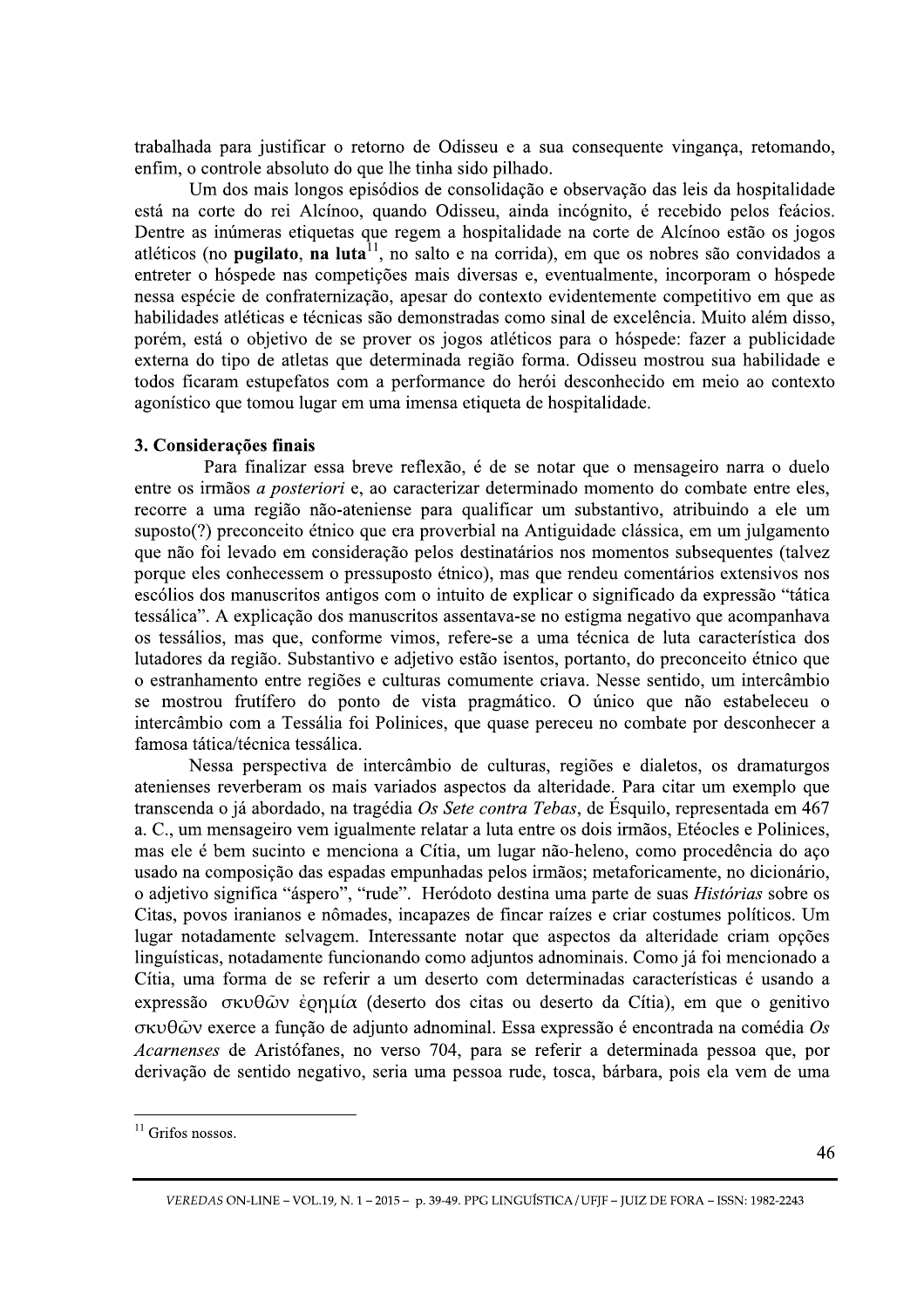trabalhada para justificar o retorno de Odisseu e a sua consequente vingança, retomando, enfim, o controle absoluto do que lhe tinha sido pilhado.

Um dos mais longos episódios de consolidação e observação das leis da hospitalidade está na corte do rei Alcínoo, quando Odisseu, ainda incógnito, é recebido pelos feácios. Dentre as inúmeras etiquetas que regem a hospitalidade na corte de Alcínoo estão os jogos atléticos (no **pugilato, na luta**<sup>11</sup>, no salto e na corrida), em que os nobres são convidados a entreter o hóspede nas competições mais diversas e, eventualmente, incorporam o hóspede nessa espécie de confraternização, apesar do contexto evidentemente competitivo em que as habilidades atléticas e técnicas são demonstradas como sinal de excelência. Muito além disso, porém, está o objetivo de se prover os jogos atléticos para o hóspede: fazer a publicidade externa do tipo de atletas que determinada região forma. Odisseu mostrou sua habilidade e todos ficaram estupefatos com a performance do herói desconhecido em meio ao contexto agonístico que tomou lugar em uma imensa etiqueta de hospitalidade.

## b 3. Considerações finais

Para finalizar essa breve reflexão, é de se notar que o mensageiro narra o duelo entre os irmãos *a posteriori* e, ao caracterizar determinado momento do combate entre eles, recorre a uma região não-ateniense para qualificar um substantivo, atribuindo a ele um suposto(?) preconceito étnico que era proverbial na Antiguidade clássica, em um julgamento que não foi levado em consideração pelos destinatários nos momentos subsequentes (talvez porque eles conhecessem o pressuposto étnico), mas que rendeu comentários extensivos nos escólios dos manuscritos antigos com o intuito de explicar o significado da expressão "tática tessálica". A explicação dos manuscritos assentava-se no estigma negativo que acompanhava os tessálios, mas que, conforme vimos, refere-se a uma técnica de luta característica dos lutadores da região. Substantivo e adjetivo estão isentos, portanto, do preconceito étnico que o estranhamento entre regiões e culturas comumente criava. Nesse sentido, um intercâmbio se mostrou frutífero do ponto de vista pragmático. O único que não estabeleceu o intercâmbio com a Tessália foi Polinices, que quase pereceu no combate por desconhecer a famosa tática/técnica tessálica.

Nessa perspectiva de intercâmbio de culturas, regiões e dialetos, os dramaturgos atenienses reverberam os mais variados aspectos da alteridade. Para citar um exemplo que transcenda o já abordado, na tragédia Os Sete contra Tebas, de Ésquilo, representada em 467 a. C., um mensageiro vem igualmente relatar a luta entre os dois irmãos, Etéocles e Polinices, mas ele é bem sucinto e menciona a Cítia, um lugar não-heleno, como procedência do aço usado na composição das espadas empunhadas pelos irmãos; metaforicamente, no dicionário, o adjetivo significa "áspero", "rude". Heródoto destina uma parte de suas *Histórias* sobre os Citas, povos iranianos e nômades, incapazes de fincar raízes e criar costumes políticos. Um lugar notadamente selvagem. Interessante notar que aspectos da alteridade criam opções linguísticas, notadamente funcionando como adjuntos adnominais. Como já foi mencionado a Cítia, uma forma de se referir a um deserto com determinadas características é usando a  $\exp$ ressão σκυθών έρημία (deserto dos citas ou deserto da Cítia), em que o genitivo  $\sigma$ Kv $\theta$  $\tilde{\omega}$ v exerce a função de adjunto adnominal. Essa expressão é encontrada na comédia Os Acarnenses de Aristófanes, no verso 704, para se referir a determinada pessoa que, por derivação de sentido negativo, seria uma pessoa rude, tosca, bárbara, pois ela vem de uma

 $\ddot{\phantom{a}}$ 

 $313$  Grifos nossos.

VEREDAS ON-LINE – VOL.19, N. 1 – 2015 – p. 39-49. PPG LINGUÍSTICA / UFJF – JUIZ DE FORA – ISSN: 1982-2243 49. PPG LINGUÍSTICA / UFJF – JUIZ DE FORA – ISSN: 1982-2:<br>|-<br>|-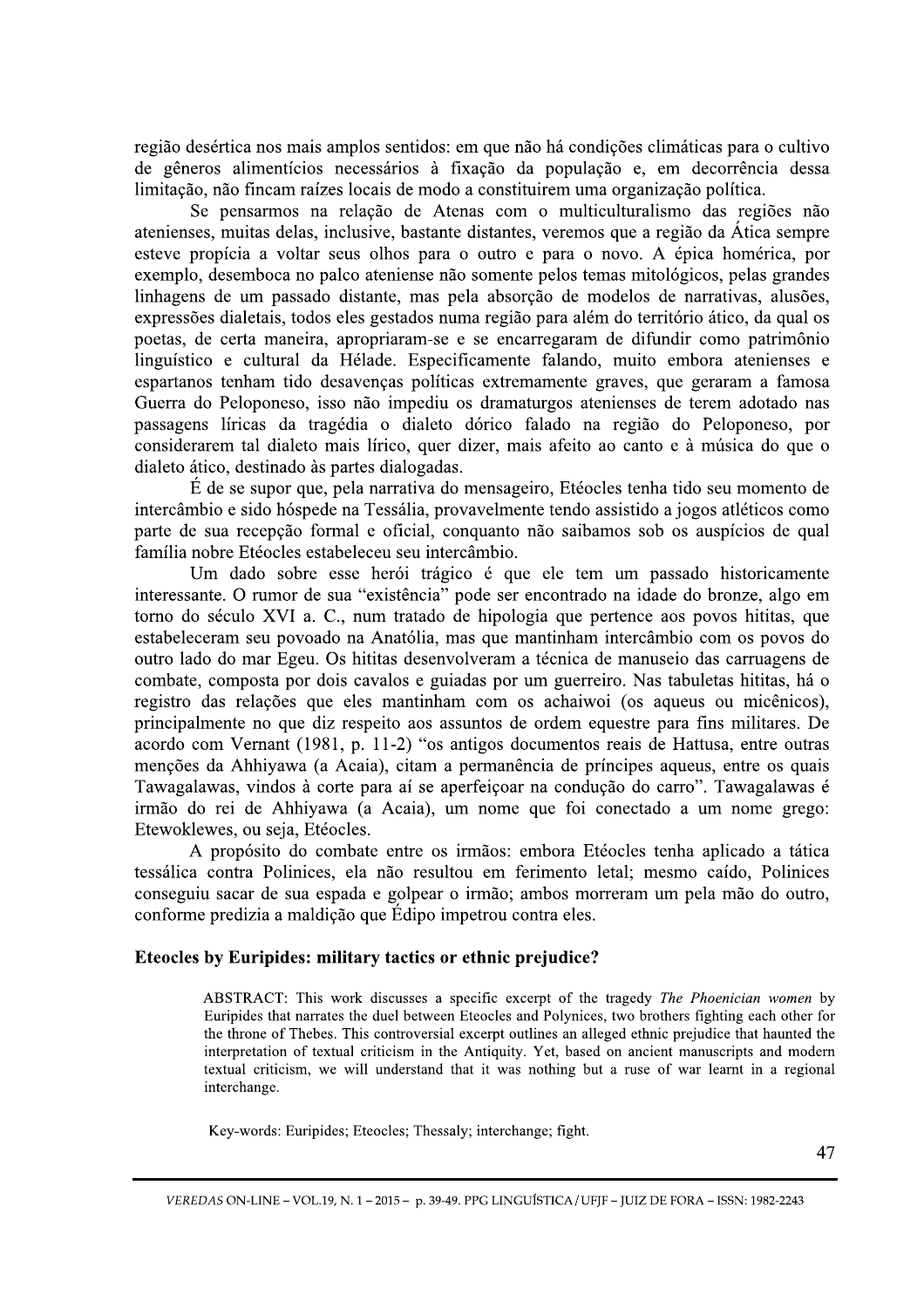região desértica nos mais amplos sentidos: em que não há condições climáticas para o cultivo de gêneros alimentícios necessários à fixação da população e, em decorrência dessa limitação, não fincam raízes locais de modo a constituirem uma organização política.

Se pensarmos na relação de Atenas com o multiculturalismo das regiões não atenienses, muitas delas, inclusive, bastante distantes, veremos que a região da Ática sempre esteve propícia a voltar seus olhos para o outro e para o novo. A épica homérica, por exemplo, desemboca no palco ateniense não somente pelos temas mitológicos, pelas grandes linhagens de um passado distante, mas pela absorção de modelos de narrativas, alusões, expressões dialetais, todos eles gestados numa região para além do território ático, da qual os poetas, de certa maneira, apropriaram-se e se encarregaram de difundir como patrimônio linguístico e cultural da Hélade. Especificamente falando, muito embora atenienses e espartanos tenham tido desavenças políticas extremamente graves, que geraram a famosa Guerra do Peloponeso, isso não impediu os dramaturgos atenienses de terem adotado nas passagens líricas da tragédia o dialeto dórico falado na região do Peloponeso, por considerarem tal dialeto mais lírico, quer dizer, mais afeito ao canto e à música do que o dialeto ático, destinado às partes dialogadas.

É de se supor que, pela narrativa do mensageiro, Etéocles tenha tido seu momento de intercâmbio e sido hóspede na Tessália, provavelmente tendo assistido a jogos atléticos como parte de sua recepção formal e oficial, conquanto não saibamos sob os auspícios de qual família nobre Etéocles estabeleceu seu intercâmbio.

Um dado sobre esse herói trágico é que ele tem um passado historicamente interessante. O rumor de sua "existência" pode ser encontrado na idade do bronze, algo em torno do século XVI a. C., num tratado de hipologia que pertence aos povos hititas, que estabeleceram seu povoado na Anatólia, mas que mantinham intercâmbio com os povos do outro lado do mar Egeu. Os hititas desenvolveram a técnica de manuseio das carruagens de combate, composta por dois cavalos e guiadas por um guerreiro. Nas tabuletas hititas, há o registro das relações que eles mantinham com os achaiwoi (os aqueus ou micênicos), principalmente no que diz respeito aos assuntos de ordem equestre para fins militares. De acordo com Vernant (1981, p. 11-2) "os antigos documentos reais de Hattusa, entre outras menções da Ahhiyawa (a Acaia), citam a permanência de príncipes aqueus, entre os quais Tawagalawas, vindos à corte para aí se aperfeiçoar na condução do carro". Tawagalawas é irmão do rei de Ahhiyawa (a Acaia), um nome que foi conectado a um nome grego: Etewoklewes, ou seja, Etéocles.

A propósito do combate entre os irmãos: embora Etéocles tenha aplicado a tática tessálica contra Polinices, ela não resultou em ferimento letal; mesmo caído, Polinices conseguiu sacar de sua espada e golpear o irmão; ambos morreram um pela mão do outro, conforme predizia a maldição que Édipo impetrou contra eles.

### Eteocles by Euripides: military tactics or ethnic prejudice?

ABSTRACT: This work discusses a specific excerpt of the tragedy *The Phoenician women* by Euripides that narrates the duel between Eteocles and Polynices, two brothers fighting each other for the throne of Thebes. This controversial excerpt outlines an alleged ethnic prejudice that haunted the interpretation of textual criticism in the Antiquity. Yet, based on ancient manuscripts and modern textual criticism, we will understand that it was nothing but a ruse of war learnt in a regional interchange.

Key-words: Euripides; Eteocles; Thessaly; interchange; fight.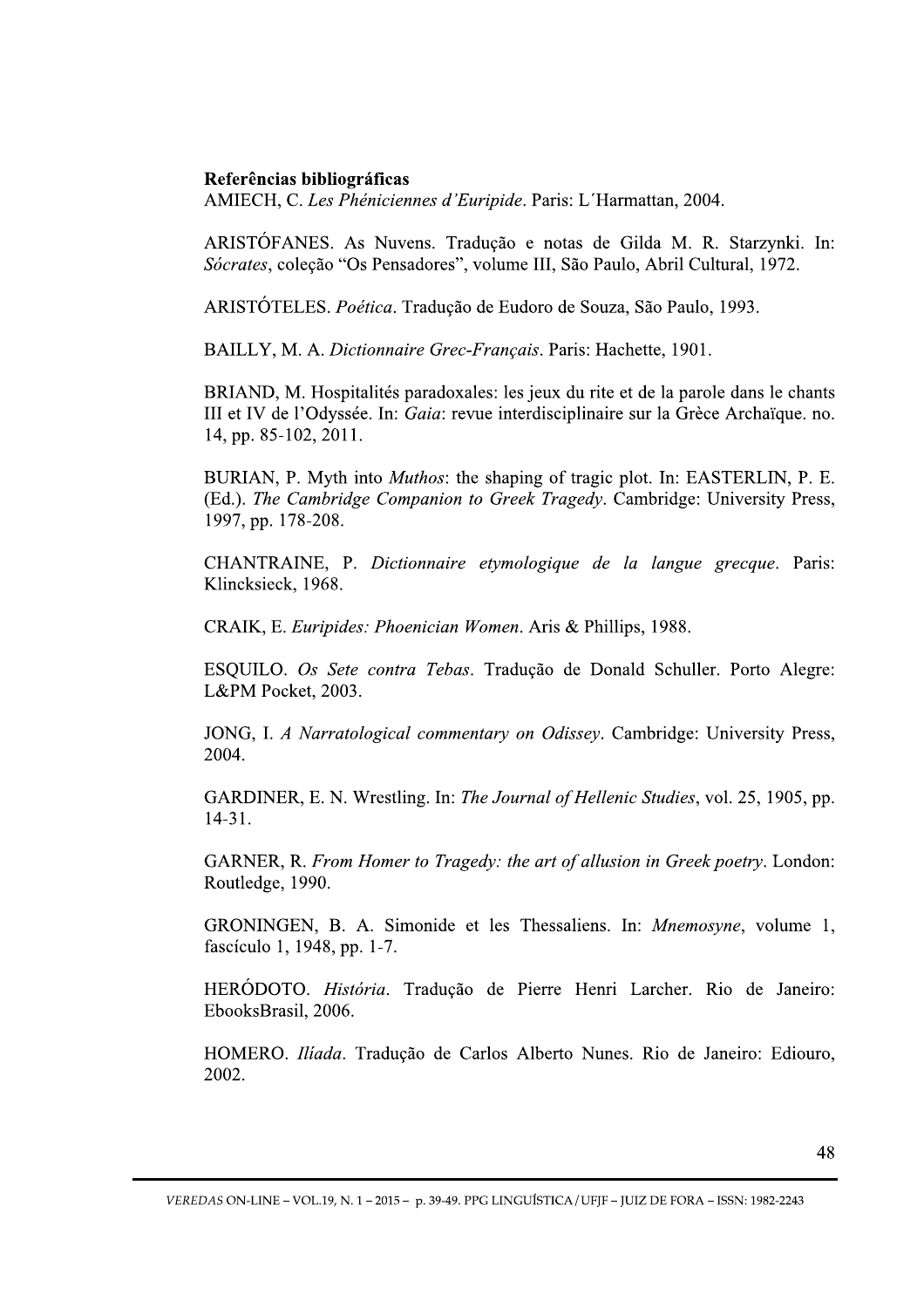### Referências bibliográficas

AMIECH, C. Les Phéniciennes d'Euripide. Paris: L'Harmattan, 2004.

ARISTÓFANES. As Nuvens. Tradução e notas de Gilda M. R. Starzynki. In: Sócrates, coleção "Os Pensadores", volume III, São Paulo, Abril Cultural, 1972.

ARISTÓTELES. Poética. Tradução de Eudoro de Souza, São Paulo, 1993.

BAILLY, M. A. Dictionnaire Grec-Français. Paris: Hachette, 1901.

BRIAND, M. Hospitalités paradoxales: les jeux du rite et de la parole dans le chants III et IV de l'Odyssée. In: Gaia: revue interdisciplinaire sur la Grèce Archaïque. no. 14. pp. 85-102, 2011.

BURIAN, P. Myth into *Muthos*: the shaping of tragic plot. In: EASTERLIN, P. E. (Ed.). The Cambridge Companion to Greek Tragedy. Cambridge: University Press, 1997, pp. 178-208.

CHANTRAINE, P. Dictionnaire etymologique de la langue grecque. Paris: Klincksieck, 1968.

CRAIK, E. Euripides: Phoenician Women. Aris & Phillips, 1988.

ESQUILO. Os Sete contra Tebas. Tradução de Donald Schuller. Porto Alegre: L&PM Pocket, 2003.

JONG, I. A Narratological commentary on Odissey. Cambridge: University Press, 2004.

GARDINER, E. N. Wrestling. In: The Journal of Hellenic Studies, vol. 25, 1905, pp.  $14-31.$ 

GARNER, R. From Homer to Tragedy: the art of allusion in Greek poetry. London: Routledge, 1990.

GRONINGEN, B. A. Simonide et les Thessaliens. In: Mnemosyne, volume 1, fascículo 1, 1948, pp. 1-7.

HERÓDOTO. História. Tradução de Pierre Henri Larcher. Rio de Janeiro: EbooksBrasil, 2006.

HOMERO. Ilíada. Tradução de Carlos Alberto Nunes. Rio de Janeiro: Ediouro, 2002.

VEREDAS ON-LINE - VOL.19, N. 1 - 2015 - p. 39-49. PPG LINGUÍSTICA / UFIF - JUIZ DE FORA - ISSN: 1982-2243